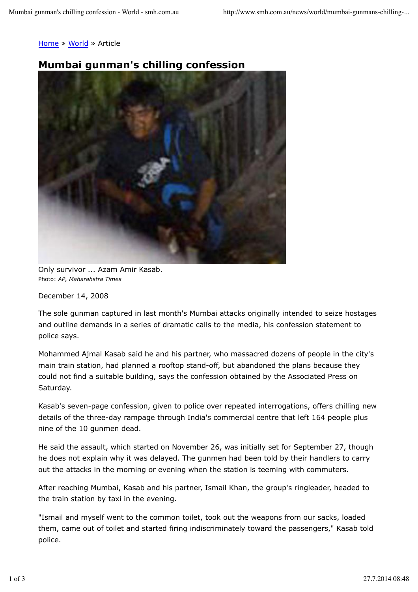## Home » World » Article

## **Mumbai gunman's chilling confession**



Only survivor ... Azam Amir Kasab. Photo: *AP, Maharahstra Times*

December 14, 2008

The sole gunman captured in last month's Mumbai attacks originally intended to seize hostages and outline demands in a series of dramatic calls to the media, his confession statement to police says.

Mohammed Ajmal Kasab said he and his partner, who massacred dozens of people in the city's main train station, had planned a rooftop stand-off, but abandoned the plans because they could not find a suitable building, says the confession obtained by the Associated Press on Saturday.

Kasab's seven-page confession, given to police over repeated interrogations, offers chilling new details of the three-day rampage through India's commercial centre that left 164 people plus nine of the 10 gunmen dead.

He said the assault, which started on November 26, was initially set for September 27, though he does not explain why it was delayed. The gunmen had been told by their handlers to carry out the attacks in the morning or evening when the station is teeming with commuters.

After reaching Mumbai, Kasab and his partner, Ismail Khan, the group's ringleader, headed to the train station by taxi in the evening.

"Ismail and myself went to the common toilet, took out the weapons from our sacks, loaded them, came out of toilet and started firing indiscriminately toward the passengers," Kasab told police.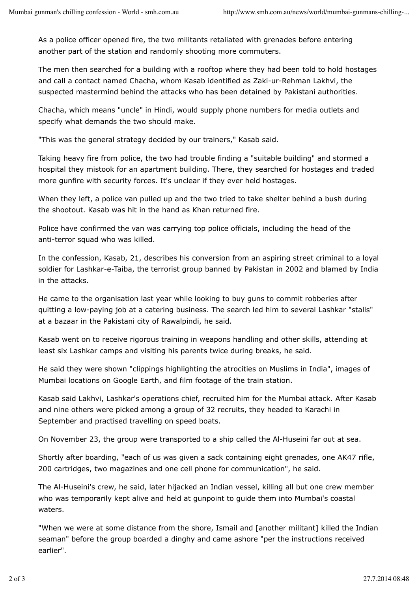As a police officer opened fire, the two militants retaliated with grenades before entering another part of the station and randomly shooting more commuters.

The men then searched for a building with a rooftop where they had been told to hold hostages and call a contact named Chacha, whom Kasab identified as Zaki-ur-Rehman Lakhvi, the suspected mastermind behind the attacks who has been detained by Pakistani authorities.

Chacha, which means "uncle" in Hindi, would supply phone numbers for media outlets and specify what demands the two should make.

"This was the general strategy decided by our trainers," Kasab said.

Taking heavy fire from police, the two had trouble finding a "suitable building" and stormed a hospital they mistook for an apartment building. There, they searched for hostages and traded more gunfire with security forces. It's unclear if they ever held hostages.

When they left, a police van pulled up and the two tried to take shelter behind a bush during the shootout. Kasab was hit in the hand as Khan returned fire.

Police have confirmed the van was carrying top police officials, including the head of the anti-terror squad who was killed.

In the confession, Kasab, 21, describes his conversion from an aspiring street criminal to a loyal soldier for Lashkar-e-Taiba, the terrorist group banned by Pakistan in 2002 and blamed by India in the attacks.

He came to the organisation last year while looking to buy guns to commit robberies after quitting a low-paying job at a catering business. The search led him to several Lashkar "stalls" at a bazaar in the Pakistani city of Rawalpindi, he said.

Kasab went on to receive rigorous training in weapons handling and other skills, attending at least six Lashkar camps and visiting his parents twice during breaks, he said.

He said they were shown "clippings highlighting the atrocities on Muslims in India", images of Mumbai locations on Google Earth, and film footage of the train station.

Kasab said Lakhvi, Lashkar's operations chief, recruited him for the Mumbai attack. After Kasab and nine others were picked among a group of 32 recruits, they headed to Karachi in September and practised travelling on speed boats.

On November 23, the group were transported to a ship called the Al-Huseini far out at sea.

Shortly after boarding, "each of us was given a sack containing eight grenades, one AK47 rifle, 200 cartridges, two magazines and one cell phone for communication", he said.

The Al-Huseini's crew, he said, later hijacked an Indian vessel, killing all but one crew member who was temporarily kept alive and held at gunpoint to guide them into Mumbai's coastal waters.

"When we were at some distance from the shore, Ismail and [another militant] killed the Indian seaman" before the group boarded a dinghy and came ashore "per the instructions received earlier".